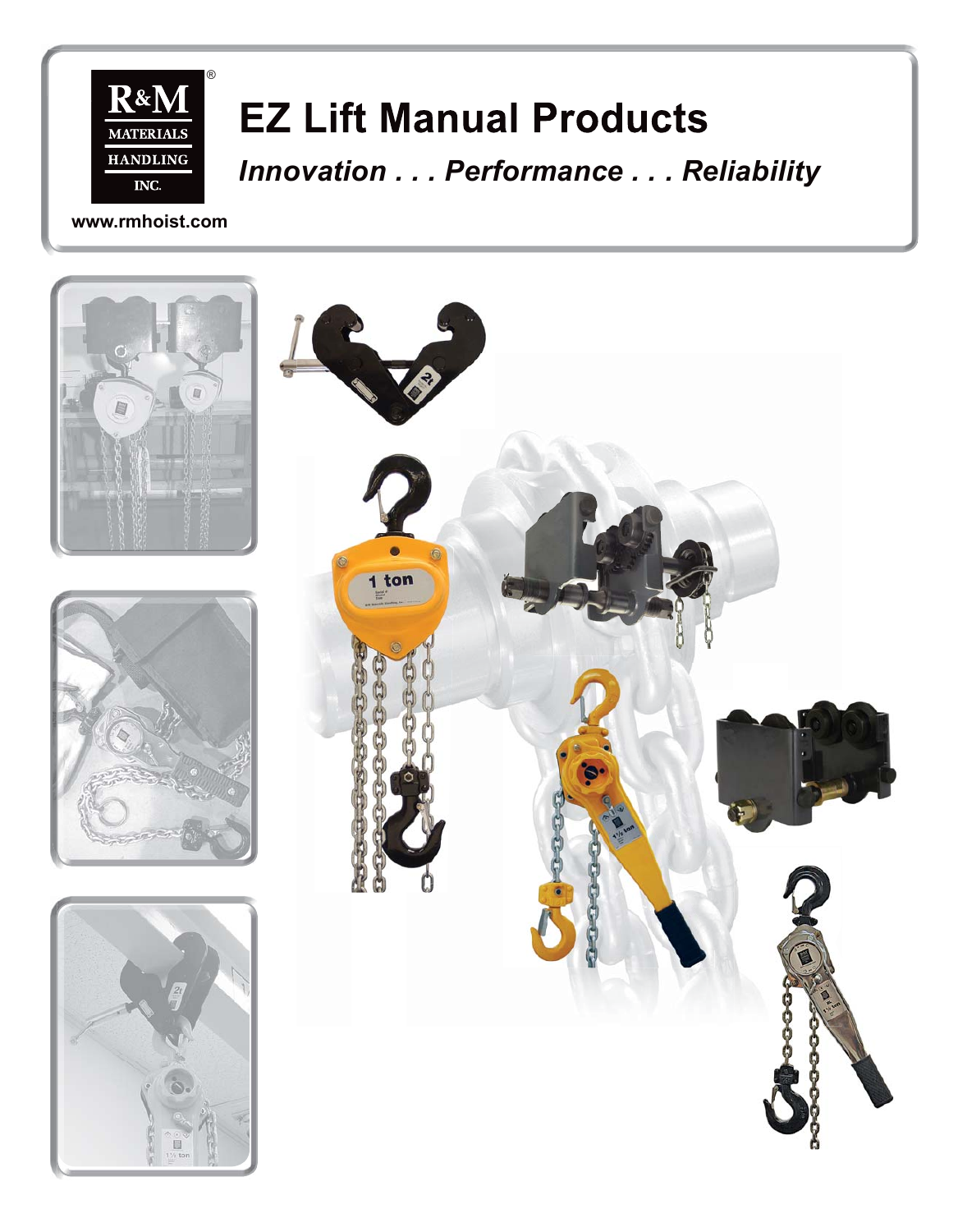

# **EZ Lift Manual Products**

*Innovation . . . Performance . . . Reliability Reliability*

**www.rmhoist.com**

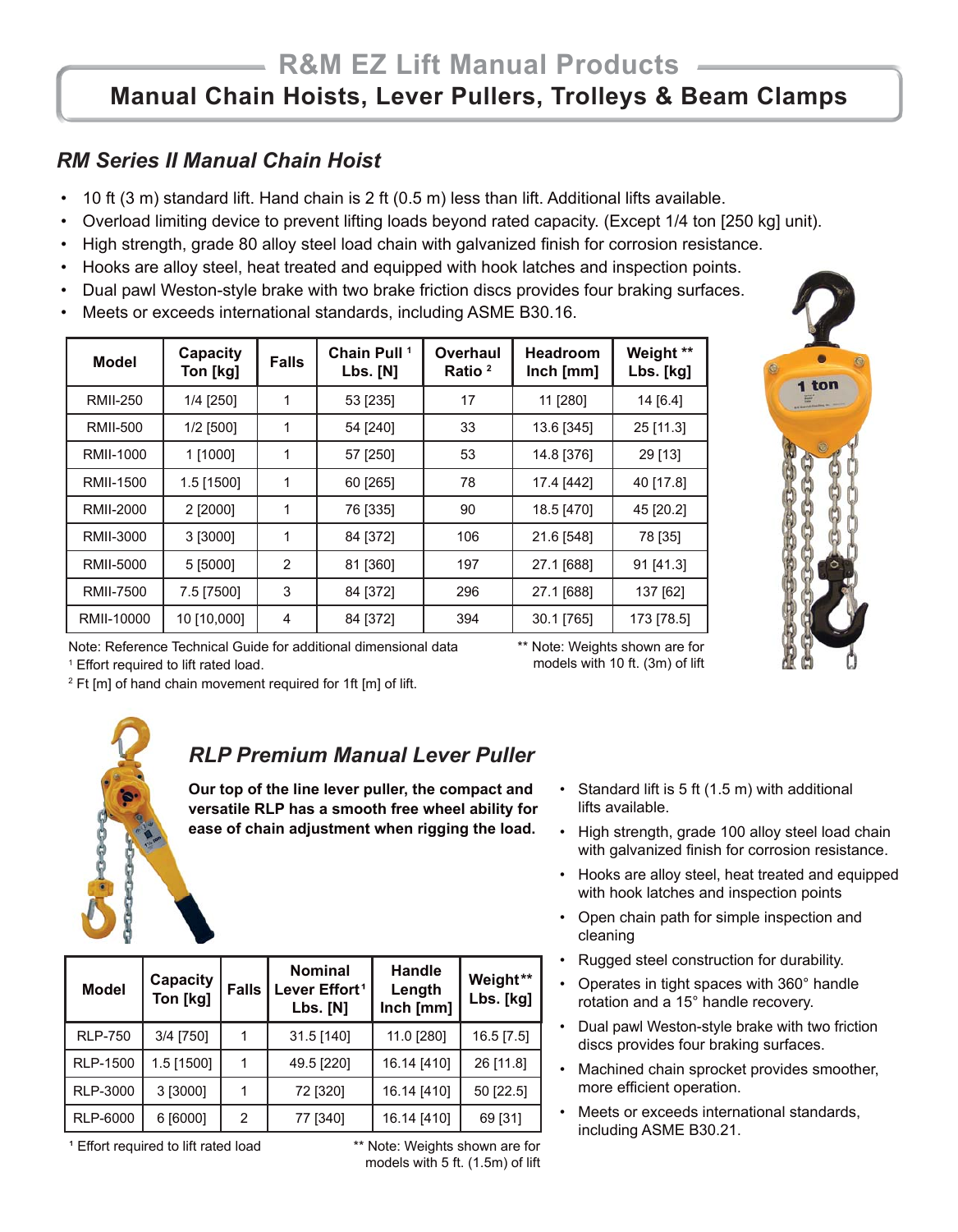## *RM Series II Manual Chain Hoist*

- 10 ft (3 m) standard lift. Hand chain is 2 ft (0.5 m) less than lift. Additional lifts available.
- Overload limiting device to prevent lifting loads beyond rated capacity. (Except 1/4 ton [250 kg] unit).
- High strength, grade 80 alloy steel load chain with galvanized finish for corrosion resistance.
- Hooks are alloy steel, heat treated and equipped with hook latches and inspection points.
- Dual pawl Weston-style brake with two brake friction discs provides four braking surfaces.
- Meets or exceeds international standards, including ASME B30.16.

| <b>Model</b>     | <b>Capacity</b><br>Ton [kg] | <b>Falls</b> | Chain Pull <sup>1</sup><br>Lbs. [N] | Overhaul<br>Ratio <sup>2</sup> | <b>Headroom</b><br>Inch [mm] | Weight **<br>Lbs. [kg] |
|------------------|-----------------------------|--------------|-------------------------------------|--------------------------------|------------------------------|------------------------|
| <b>RMII-250</b>  | 1/4 [250]                   | 1            | 53 [235]                            | 17                             | 11 [280]                     | 14 [6.4]               |
| <b>RMII-500</b>  | $1/2$ [500]                 | 1            | 54 [240]                            | 33                             | 13.6 [345]                   | 25 [11.3]              |
| RMII-1000        | 1 [1000]                    | 1            | 57 [250]                            | 53                             | 14.8 [376]                   | 29 [13]                |
| <b>RMII-1500</b> | 1.5 [1500]                  | 1            | 60 [265]                            | 78                             | 17.4 [442]                   | 40 [17.8]              |
| RMII-2000        | 2 [2000]                    | 1            | 76 [335]                            | 90                             | 18.5 [470]                   | 45 [20.2]              |
| RMII-3000        | 3 [3000]                    | 1            | 84 [372]                            | 106                            | 21.6 [548]                   | 78 [35]                |
| RMII-5000        | 5 [5000]                    | 2            | 81 [360]                            | 197                            | 27.1 [688]                   | 91 [41.3]              |
| <b>RMII-7500</b> | 7.5 [7500]                  | 3            | 84 [372]                            | 296                            | 27.1 [688]                   | 137 [62]               |
| RMII-10000       | 10 [10,000]                 | 4            | 84 [372]                            | 394                            | 30.1 [765]                   | 173 [78.5]             |



Note: Reference Technical Guide for additional dimensional data 1 Effort required to lift rated load.

<sup>2</sup> Ft [m] of hand chain movement required for 1ft [m] of lift.

\*\* Note: Weights shown are for models with 10 ft. (3m) of lift



**Model Capacity**

**Ton [kg] Falls**

#### *RLP Premium Manual Lever Puller*

**Our top of the line lever puller, the compact and versatile RLP has a smooth free wheel ability for ease of chain adjustment when rigging the load.**

> **Nominal**  Lever Effort<sup>1</sup> **Lbs. [N]**

RLP-750 | 3/4 [750] | 1 | 31.5 [140] | 11.0 [280] | 16.5 [7.5] RLP-1500 | 1.5 [1500] | 1 | 49.5 [220] | 16.14 [410] | 26 [11.8] RLP-3000 | 3 [3000] | 1 | 72 [320] | 16.14 [410] | 50 [22.5] RLP-6000 | 6 [6000] | 2 | 77 [340] | 16.14 [410] | 69 [31]

- Standard lift is 5 ft (1.5 m) with additional lifts available.
- High strength, grade 100 alloy steel load chain with galvanized finish for corrosion resistance.
- Hooks are alloy steel, heat treated and equipped with hook latches and inspection points
- Open chain path for simple inspection and cleaning
- Rugged steel construction for durability.
- Operates in tight spaces with 360° handle rotation and a 15° handle recovery.
- Dual pawl Weston-style brake with two friction discs provides four braking surfaces.
- Machined chain sprocket provides smoother, more efficient operation.
- Meets or exceeds international standards, including ASME B30.21.

<sup>1</sup> Effort required to lift rated load \*\* Note: Weights shown are for

models with 5 ft. (1.5m) of lift

**Handle Length Inch [mm]**

**Weight\*\* Lbs. [kg]**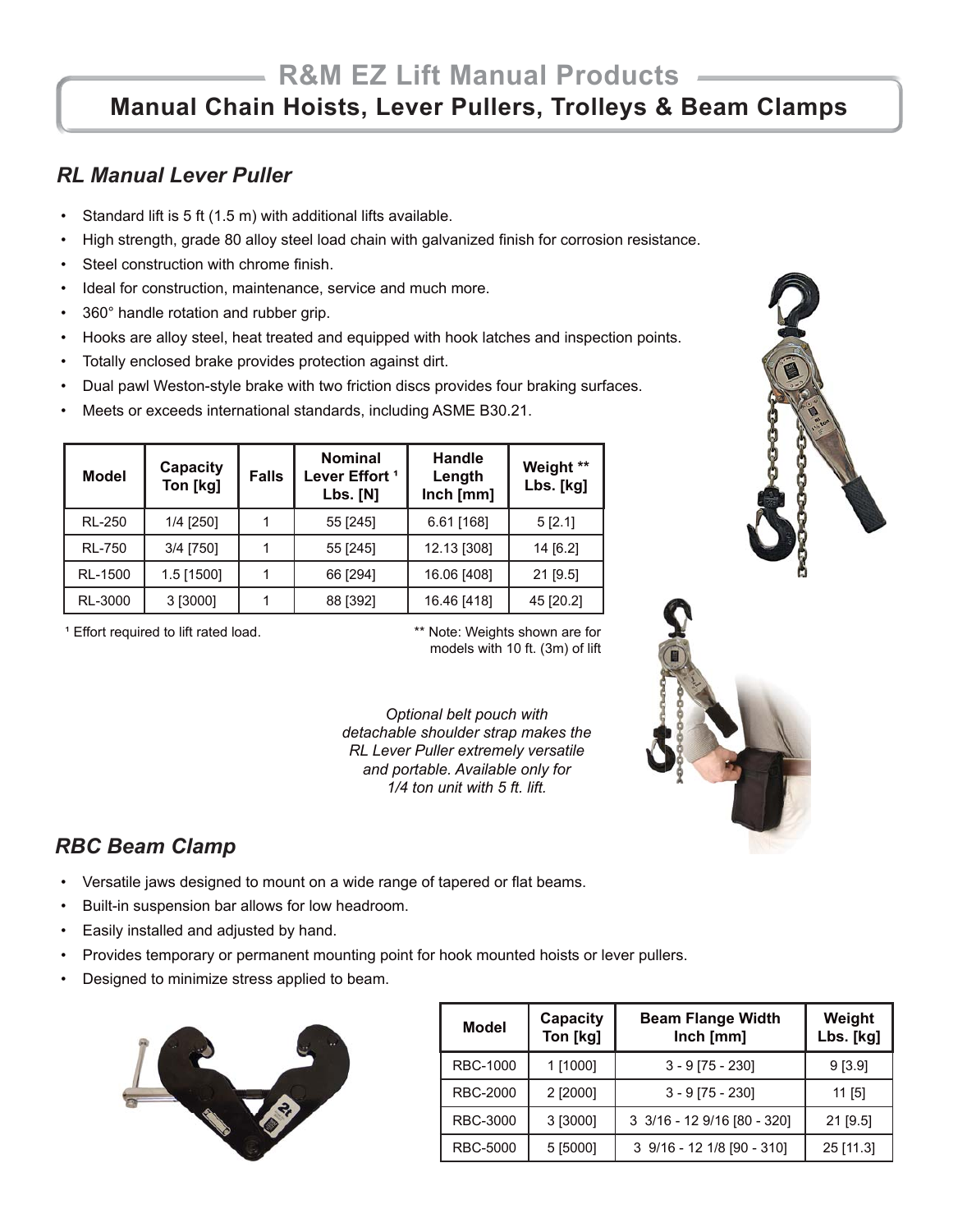#### *RL Manual Lever Puller*

- Standard lift is 5 ft (1.5 m) with additional lifts available.
- High strength, grade 80 alloy steel load chain with galvanized finish for corrosion resistance.
- Steel construction with chrome finish.
- Ideal for construction, maintenance, service and much more.
- 360° handle rotation and rubber grip.
- Hooks are alloy steel, heat treated and equipped with hook latches and inspection points.
- Totally enclosed brake provides protection against dirt.
- Dual pawl Weston-style brake with two friction discs provides four braking surfaces.
- Meets or exceeds international standards, including ASME B30.21.

| <b>Model</b>  | Capacity<br>Ton [kg] | <b>Falls</b> | <b>Nominal</b><br>Lever Effort <sup>1</sup><br><b>Lbs. [N]</b> | Handle<br>Length<br>Inch [mm] | Weight **<br>Lbs. [kg] |
|---------------|----------------------|--------------|----------------------------------------------------------------|-------------------------------|------------------------|
| <b>RL-250</b> | 1/4 [250]            |              | 55 [245]                                                       | $6.61$ [168]                  | 5 [2.1]                |
| <b>RL-750</b> | 3/4 [750]            |              | 55 [245]                                                       | 12.13 [308]                   | 14 [6.2]               |
| RL-1500       | $1.5$ [1500]         |              | 66 [294]                                                       | 16.06 [408]                   | 21 [9.5]               |
| RL-3000       | 3 [3000]             |              | 88 [392]                                                       | 16.46 [418]                   | 45 [20.2]              |

<sup>1</sup> Effort required to lift rated load. \*\*\* Note: Weights shown are for

models with 10 ft. (3m) of lift

*Optional belt pouch with detachable shoulder strap makes the RL Lever Puller extremely versatile and portable. Available only for 1/4 ton unit with 5 ft. lift.*



### *RBC Beam Clamp*

- Versatile jaws designed to mount on a wide range of tapered or flat beams.
- Built-in suspension bar allows for low headroom.
- Easily installed and adjusted by hand.
- Provides temporary or permanent mounting point for hook mounted hoists or lever pullers.
- Designed to minimize stress applied to beam.



| <b>Model</b>    | Capacity<br>Ton [kg] | <b>Beam Flange Width</b><br>Inch [mm] | Weight<br>Lbs. [kg] |
|-----------------|----------------------|---------------------------------------|---------------------|
| <b>RBC-1000</b> | 1 [1000]             | $3 - 9$ [75 - 230]                    | 9[3.9]              |
| <b>RBC-2000</b> | 2 [2000]             | $3 - 9$ [75 - 230]                    | $11$ [5]            |
| <b>RBC-3000</b> | 3 [3000]             | 3 3/16 - 12 9/16 [80 - 320]           | $21$ [9.5]          |
| <b>RBC-5000</b> | 5 [5000]             | 3 9/16 - 12 1/8 [90 - 310]            | 25 [11.3]           |